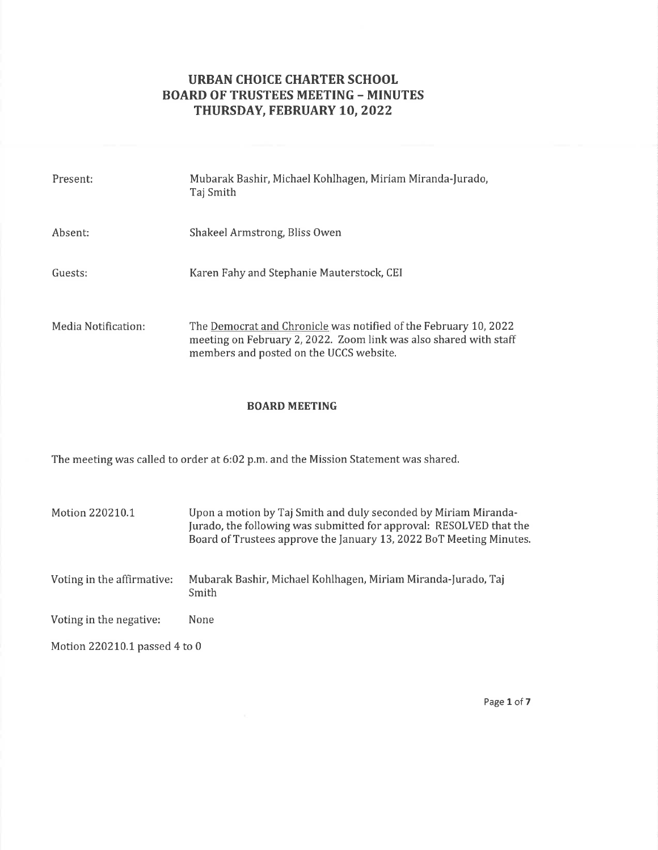# URBAN CHOICE CHARTER SCHOOL BOARD OF TRUSTEES MEETING - MINUTES THURSDAY, FEBRUARY 10, 2022

| Present:            | Mubarak Bashir, Michael Kohlhagen, Miriam Miranda-Jurado,<br>Taj Smith                                                                                                           |
|---------------------|----------------------------------------------------------------------------------------------------------------------------------------------------------------------------------|
| Absent:             | Shakeel Armstrong, Bliss Owen                                                                                                                                                    |
| Guests:             | Karen Fahy and Stephanie Mauterstock, CEI                                                                                                                                        |
| Media Notification: | The Democrat and Chronicle was notified of the February 10, 2022<br>meeting on February 2, 2022. Zoom link was also shared with staff<br>members and posted on the UCCS website. |

## BOARD MEETING

The meeting was called to order at 6:02 p.m. and the Mission Statement was shared.

| Motion 220210.1               | Upon a motion by Taj Smith and duly seconded by Miriam Miranda-<br>Jurado, the following was submitted for approval: RESOLVED that the<br>Board of Trustees approve the January 13, 2022 BoT Meeting Minutes. |  |  |  |
|-------------------------------|---------------------------------------------------------------------------------------------------------------------------------------------------------------------------------------------------------------|--|--|--|
| Voting in the affirmative:    | Mubarak Bashir, Michael Kohlhagen, Miriam Miranda-Jurado, Taj<br>Smith                                                                                                                                        |  |  |  |
| Voting in the negative:       | None                                                                                                                                                                                                          |  |  |  |
| Motion 220210.1 passed 4 to 0 |                                                                                                                                                                                                               |  |  |  |

Page 1 of 7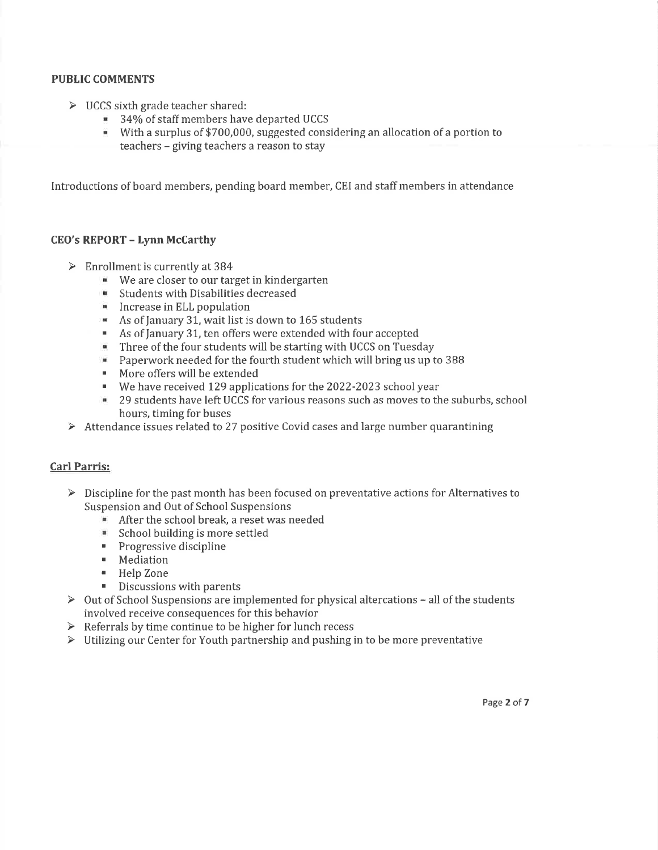# PUBLIC COMMENTS

- 
- <p>▶ UCCS sixth grade teacher shared:</p>\n<p>■ 34% of staff members have departed UCCS</p>
	- . With a surplus of \$700,000, suggested considering an allocation of a portion to teachers - giving teachers a reason to stay

Introductions of board members, pending board member, CEI and staff members in attendance

#### CEO's REPORT - Lynn McCarthy

- 
- $\geq$  Enrollment is currently at 384<br>We are closer to our target in kindergarten
	- . Students with Disabilities decreased
	- ' Increase in ELL population
	- . As of January 31, wait list is down to 165 students
	- As of January 31, ten offers were extended with four accepted<br>■ Three of the four students will be starting with UCCS on Tueso
	- . Three of the four students will be starting with UCCS on Tuesday
	- **Paperwork needed for the fourth student which will bring us up to 388**
	- . More offers will be extended
	- . We have received I29 applications for the 2022-2023 school year
	- . 29 students have left UCCS for various reasons such as moves to the suburbs, school
- hours, timing for buses<br>  $\triangleright$  Attendance issues related to 27 positive Covid cases and large number quarantining

## Carl Parris:

- $\triangleright$  Discipline for the past month has been focused on preventative actions for Alternatives to Suspension and Out of School Suspensions
	- After the school break, a reset was needed
	- . School building is more settled
	- **Progressive discipline**
	- ' Mediation
	- . Help Zone
	-
- **EXECUTE:** Discussions with parents<br>  $\geq 0$ ut of School Suspensions are implemented for physical altercations all of the students involved receive consequences for this behavior
- $\triangleright$  Referrals by time continue to be higher for lunch recess
- $\triangleright$  Utilizing our Center for Youth partnership and pushing in to be more preventative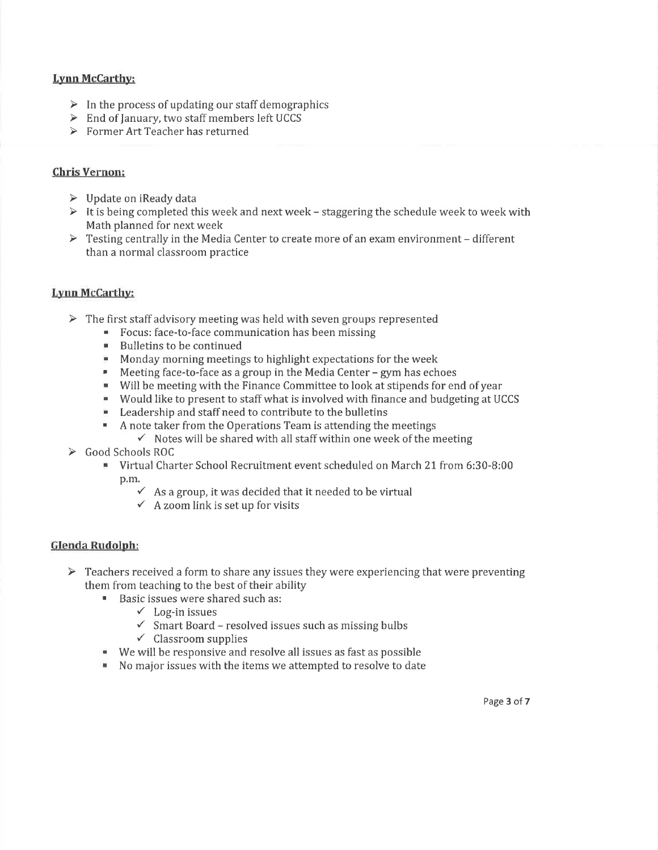# Lvnn McCarthv:

- $\triangleright$  In the process of updating our staff demographics
- > End of January, two staff members left UCCS
- $\triangleright$  Former Art Teacher has returned

# Chris Vernon:

- $\triangleright$  Update on iReady data
- $\triangleright$  It is being completed this week and next week staggering the schedule week to week with Math planned for next week
- $\triangleright$  Testing centrally in the Media Center to create more of an exam environment different than a normal classroom practice

## Lynn McCarthy:

- $\triangleright$  The first staff advisory meeting was held with seven groups represented
	- ' Focus: face-to-face communication has been missing
	- ' Bulletins to be continued
	- **. Monday morning meetings to highlight expectations for the week**
	- . Meeting face-to-face as a group in the Media Center gym has echoes
	- ' Will be meeting with the Finance Committee to look at stipends for end of year
	- . Would like to present to staff what is involved with finance and budgeting at UCCS
	- . Leadership and staffneed to contribute to the bulletins
	- A note taker from the Operations Team is attending the meetings  $\checkmark$  Notes will be shared with all staff within one week of the meeting
		-
- 
- . Virtual Charter School Recruitment event scheduled on March 2I from 6:30-8:00 p.m.
	- $\checkmark$  As a group, it was decided that it needed to be virtual  $\checkmark$  A zoom link is set up for visits
	-

## Glenda Rudolph:

- $\triangleright$  Teachers received a form to share any issues they were experiencing that were preventing them from teaching to the best of their ability
	- . Basic issues were shared such as:
		-
		- $\checkmark$  Log-in issues<br>  $\checkmark$  Smart Board resolved issues such as missing bulbs<br>  $\checkmark$  Classroom supplies
		-
	- . We will be responsive and resolve all issues as fast as possible
	- . No major issues with the items we attempted to resolve to date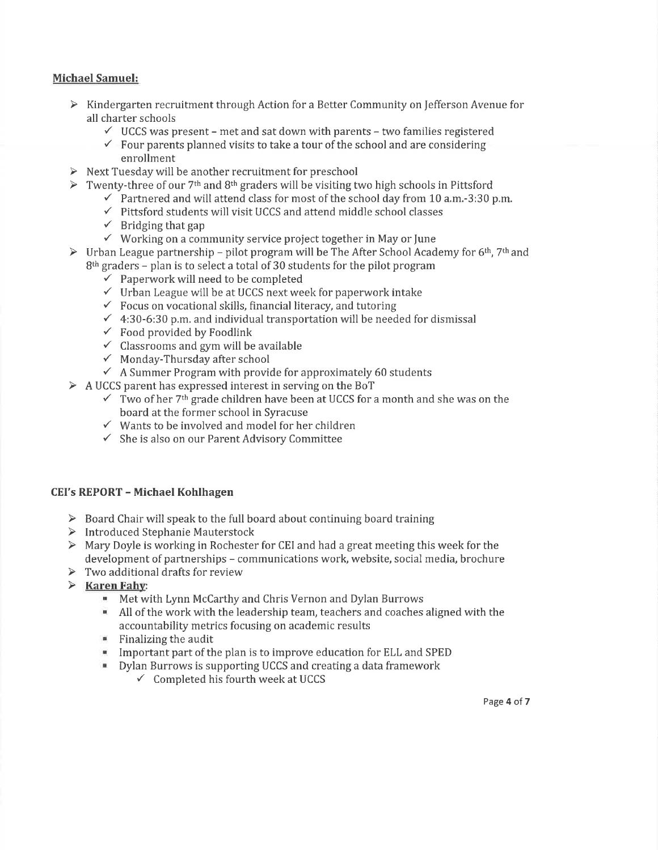## Michael Samuel:

- $\triangleright$  Kindergarten recruitment through Action for a Better Community on Jefferson Avenue for all charter schools<br>  $\checkmark$  UCCS was present - met and sat down with parents - two families registered<br>  $\checkmark$  - Four parents planned visits to take a tour of the school and are considering
	-
	- enrollment
- > Next Tuesday will be another recruitment for preschool
- → Twenty-three of our 7<sup>th</sup> and 8<sup>th</sup> graders will be visiting two high schools in Pittsford  $\checkmark$  Partnered and will attend class for most of the school day from 10 a,m.-3:30 p.m.  $\checkmark$  Pittsford students will visit UCC
	- -
		-
		-
- $\checkmark$  Working on a community service project together in May or June<br>
Fig. 2.1 We Urban League partnership pilot program will be The After School Academy for 6<sup>th</sup>, 7<sup>th</sup> and
	-
	-
	-
	- 8<sup>th</sup> graders plan is to select a total of 30 students for the pilot program<br>  $\checkmark$  Paperwork will need to be completed<br>  $\checkmark$  Urban League will be at UCCS next week for paperwork intake<br>  $\checkmark$  Focus on vocational skill
		-
		-
		-
- $\checkmark$  A Summer Program with provide for approximately 60 students<br>  $\checkmark$  A UCCS parent has expressed interest in serving on the BoT<br>  $\checkmark$  Two of her 7<sup>th</sup> grade children have been at UCCS for a month and she was on the
	- -
		- board at the former school in Syracuse<br>  $\checkmark$  Wants to be involved and model for her children<br>  $\checkmark$  She is also on our Parent Advisory Committee
		-

## CEI's REPORT - Michael Kohlhagen

- $\triangleright$  Board Chair will speak to the full board about continuing board training
- > Introduced Stephanie Mauterstock
- > Mary Doyle is working in Rochester for CEI and had a great meeting this week for the development of partnerships – communications work, website, social media, brochure  $\triangleright$  Two additional drafts for review
- 
- 
- $\triangleright$  **Karen Fahy:**<br>Met with Lynn McCarthy and Chris Vernon and Dylan Burrows
	- $\blacksquare$  All of the work with the leadership team, teachers and coaches aligned with the accountability metrics focusing on academic results
	- $\blacksquare$  Finalizing the audit
	- **IMPORTANT IMPORT IS TO A THE PROPERTY IS A THE PROPERTY IS A THE PROPERTY IS SUPPORT IS A THANGE IN THE PROPERTY ISLEM**<br>In Present and Separate in Present is supporting UCCS and creating a data framework
	- Dylan Burrows is supporting UCCS and creating a data framework  $\checkmark$  Completed his fourth week at UCCS
		-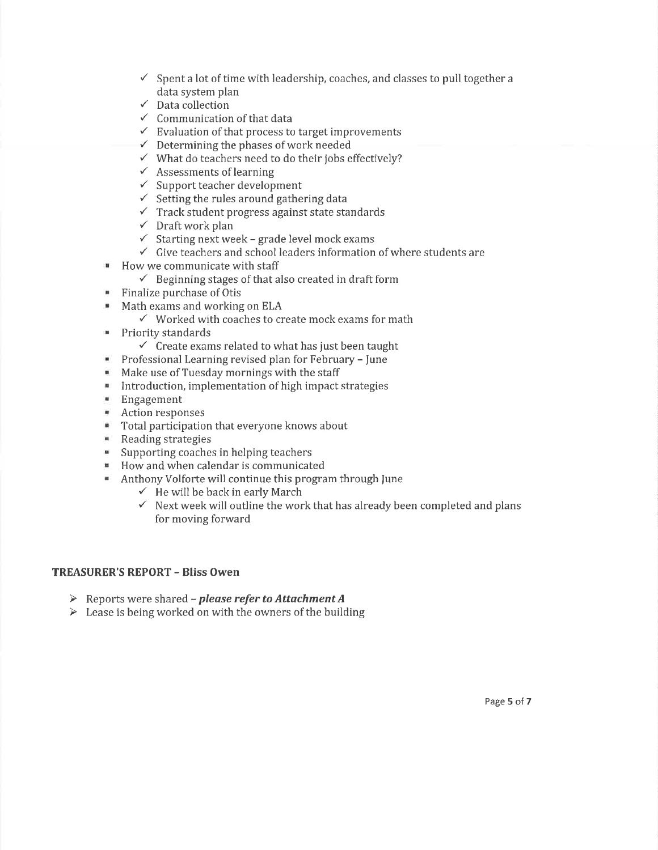- $\checkmark$  Spent a lot of time with leadership, coaches, and classes to pull together a
- 
- 
- data system plan<br>
✓ Data collection<br>
✓ Communication of that data<br>
✓ Evaluation of that process to target improvements<br>
✓ Determining the phases of work needed<br>
✓ What do teachers need to do their jobs effectively?<br>
✓ Sup
- 
- 
- 
- 
- 
- $\checkmark$  Setting the rules around gathering data<br> $\checkmark$  Track student progress against state standards<br> $\checkmark$  Draft work plan<br> $\checkmark$  Starting next week grade level mock exams
- 
- 
- $\checkmark$  Give teachers and school leaders information of where students are
- **How we communicate with staff** 
	- $\checkmark$  Beginning stages of that also created in draft form
- Finalize purchase of Otis
- 
- Math exams and working on ELA  $\checkmark$  Worked with coaches to create mock exams for math
- 
- Priority standards<br> $\checkmark$  Create exams related to what has just been taught
- $\blacksquare$ Professional Learning revised plan for February - fune
- Make use of Tuesday mornings with the staff  $\mathbf{m}$
- **BU** Introduction, implementation of high impact strategies
- $\mathbf{u}$ Engagement
- $\mathbf{m}$ Action responses
- Total participation that everyone knows about  $\mathbf{m}$
- $\mathbf{H}$ Reading strategies
- Supporting coaches in helping teachers  $\mathbf{m}$
- $\mathbf{H}$ How and when calendar is communicated
- $\blacksquare$ 
	-
- Anthony Volforte will continue this program through June<br>  $\checkmark$  He will be back in early March  $\checkmark$  Next week will outline the work that has already been completed and plans for moving forward

#### TREASURER'S REPORT - Bliss Owen

- $\triangleright$  Reports were shared please refer to Attachment A
- $\triangleright$  Lease is being worked on with the owners of the building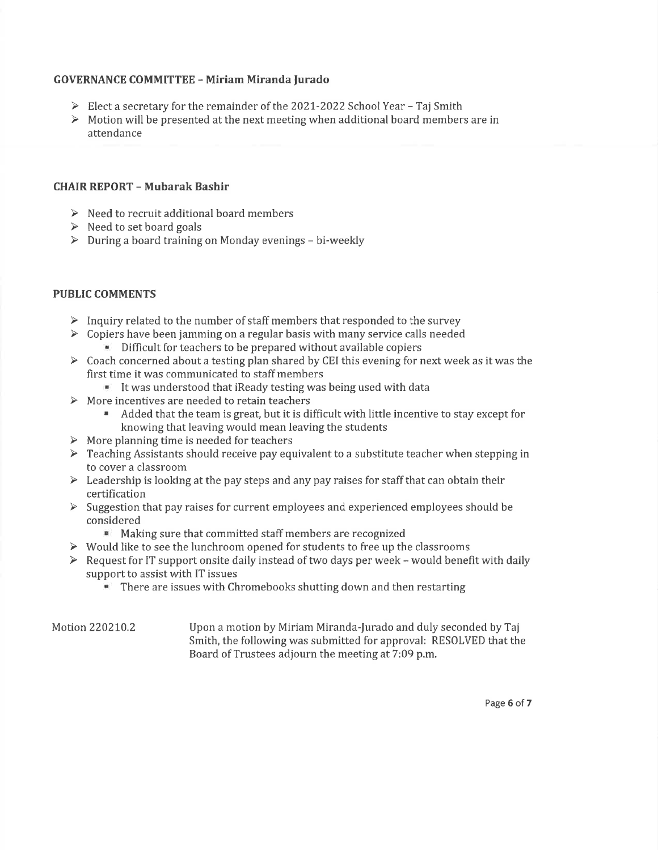#### GOVERNANCE COMMITTEE - Miriam Miranda furado

- > Elect a secretary for the remainder of the 2021-2022 School Year Taj Smith
- > Motion will be presented at the next meeting when additional board members are in attendance

#### CHAIR REPORT - Mubarak Bashir

- $\triangleright$  Need to recruit additional board members
- $\triangleright$  Need to set board goals
- $\triangleright$  During a board training on Monday evenings bi-weekly

#### PUBLIC COMMENTS

- $\triangleright$  Inquiry related to the number of staff members that responded to the survey
- $\geq$  Copiers have been jamming on a regular basis with many service calls needed<br>Difficult for teachers to be prepared without available copiers
	-
- $\triangleright$  Coach concerned about a testing plan shared by CEI this evening for next week as it was the first time it was communicated to staff members
	- . It was understood that iReady testing was being used with data
- $\triangleright$  More incentives are needed to retain teachers
	- ' Added that the team is great, but it is difficult with little incentive to stay except for knowing that leaving would mean leaving the students
- $\triangleright$  More planning time is needed for teachers
- $\triangleright$  Teaching Assistants should receive pay equivalent to a substitute teacher when stepping in to cover a classroom
- $\triangleright$  Leadership is looking at the pay steps and any pay raises for staff that can obtain their certification
- $\triangleright$  Suggestion that pay raises for current employees and experienced employees should be considered
	- **Making sure that committed staff members are recognized**
- $\triangleright$  Would like to see the lunchroom opened for students to free up the classrooms
- $\triangleright$  Request for IT support onsite daily instead of two days per week would benefit with daily support to assist with IT issues
	- **. There are issues with Chromebooks shutting down and then restarting**

#### Motion 220210.2 Upon a motion by Miriam Miranda-Jurado and duly seconded by Taj Smith, the following was submitted for approval: RESOLVED that the Board of Trustees adjourn the meeting at 7:09 p.m.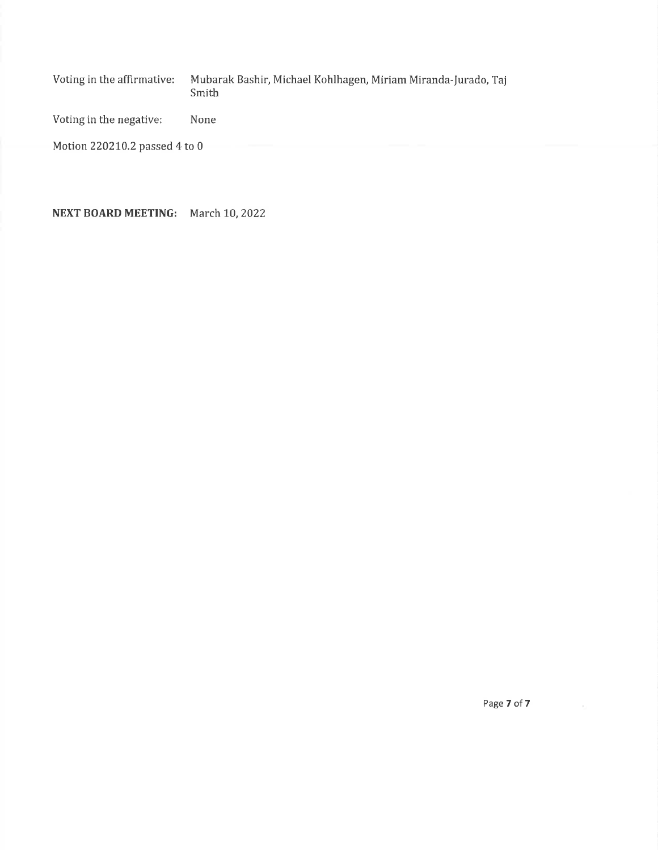Voting in the affirmative: Mubarak Bashir, Michael Kohlhagen, Miriam Miranda-Jurado, Taj Smith

Voting in the negative: None

Motion 220210.2 passed 4 to 0

NEXT BOARD MEETING: March 10,2022

Page 7 of 7